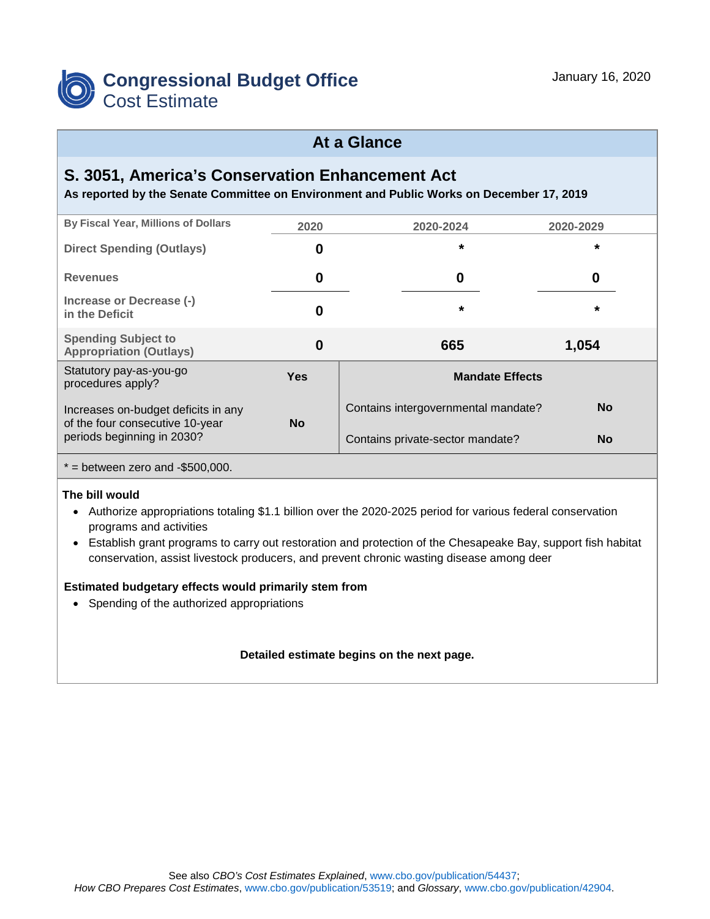

## **At a Glance**

### **S. 3051, America's Conservation Enhancement Act**

**As reported by the Senate Committee on Environment and Public Works on December 17, 2019**

| <b>By Fiscal Year, Millions of Dollars</b>                             | 2020       | 2020-2024                           | 2020-2029 |
|------------------------------------------------------------------------|------------|-------------------------------------|-----------|
| <b>Direct Spending (Outlays)</b>                                       | 0          | $\star$                             | $\star$   |
| <b>Revenues</b>                                                        | 0          | 0                                   | 0         |
| Increase or Decrease (-)<br>in the Deficit                             | 0          | $\star$                             | $\star$   |
| <b>Spending Subject to</b><br><b>Appropriation (Outlays)</b>           | 0          | 665                                 | 1,054     |
| Statutory pay-as-you-go<br>procedures apply?                           | <b>Yes</b> | <b>Mandate Effects</b>              |           |
| Increases on-budget deficits in any<br>of the four consecutive 10-year | <b>No</b>  | Contains intergovernmental mandate? | <b>No</b> |
| periods beginning in 2030?                                             |            | Contains private-sector mandate?    | <b>No</b> |

 $* =$  between zero and -\$500,000.

### **The bill would**

- Authorize appropriations totaling \$1.1 billion over the 2020-2025 period for various federal conservation programs and activities
- Establish grant programs to carry out restoration and protection of the Chesapeake Bay, support fish habitat conservation, assist livestock producers, and prevent chronic wasting disease among deer

### **Estimated budgetary effects would primarily stem from**

• Spending of the authorized appropriations

### **Detailed estimate begins on the next page.**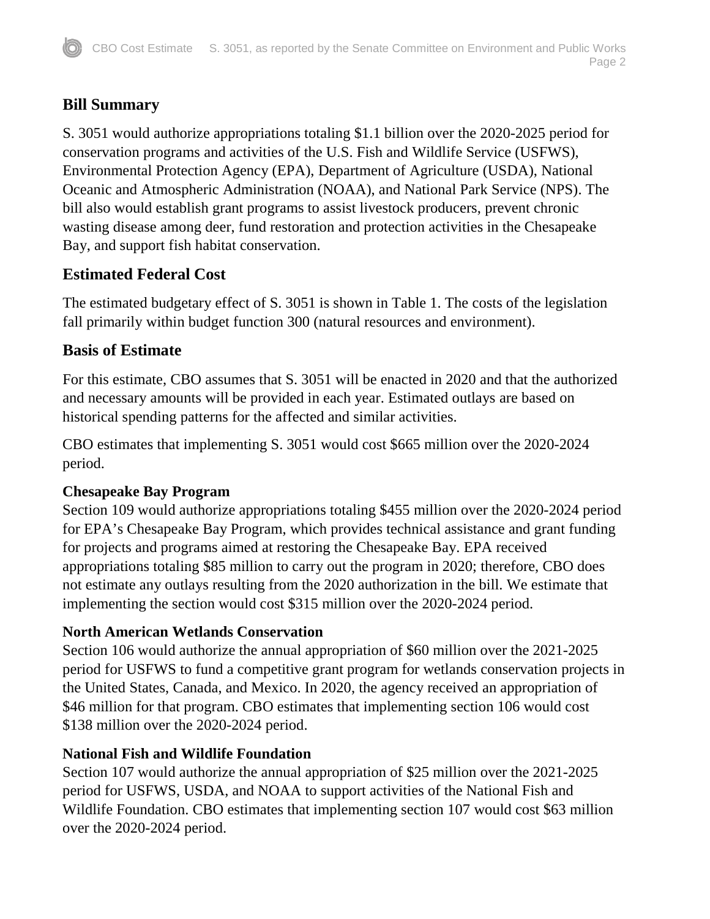# **Bill Summary**

S. 3051 would authorize appropriations totaling \$1.1 billion over the 2020-2025 period for conservation programs and activities of the U.S. Fish and Wildlife Service (USFWS), Environmental Protection Agency (EPA), Department of Agriculture (USDA), National Oceanic and Atmospheric Administration (NOAA), and National Park Service (NPS). The bill also would establish grant programs to assist livestock producers, prevent chronic wasting disease among deer, fund restoration and protection activities in the Chesapeake Bay, and support fish habitat conservation.

## **Estimated Federal Cost**

The estimated budgetary effect of S. 3051 is shown in Table 1. The costs of the legislation fall primarily within budget function 300 (natural resources and environment).

## **Basis of Estimate**

For this estimate, CBO assumes that S. 3051 will be enacted in 2020 and that the authorized and necessary amounts will be provided in each year. Estimated outlays are based on historical spending patterns for the affected and similar activities.

CBO estimates that implementing S. 3051 would cost \$665 million over the 2020-2024 period.

## **Chesapeake Bay Program**

Section 109 would authorize appropriations totaling \$455 million over the 2020-2024 period for EPA's Chesapeake Bay Program, which provides technical assistance and grant funding for projects and programs aimed at restoring the Chesapeake Bay. EPA received appropriations totaling \$85 million to carry out the program in 2020; therefore, CBO does not estimate any outlays resulting from the 2020 authorization in the bill. We estimate that implementing the section would cost \$315 million over the 2020-2024 period.

## **North American Wetlands Conservation**

Section 106 would authorize the annual appropriation of \$60 million over the 2021-2025 period for USFWS to fund a competitive grant program for wetlands conservation projects in the United States, Canada, and Mexico. In 2020, the agency received an appropriation of \$46 million for that program. CBO estimates that implementing section 106 would cost \$138 million over the 2020-2024 period.

## **National Fish and Wildlife Foundation**

Section 107 would authorize the annual appropriation of \$25 million over the 2021-2025 period for USFWS, USDA, and NOAA to support activities of the National Fish and Wildlife Foundation. CBO estimates that implementing section 107 would cost \$63 million over the 2020-2024 period.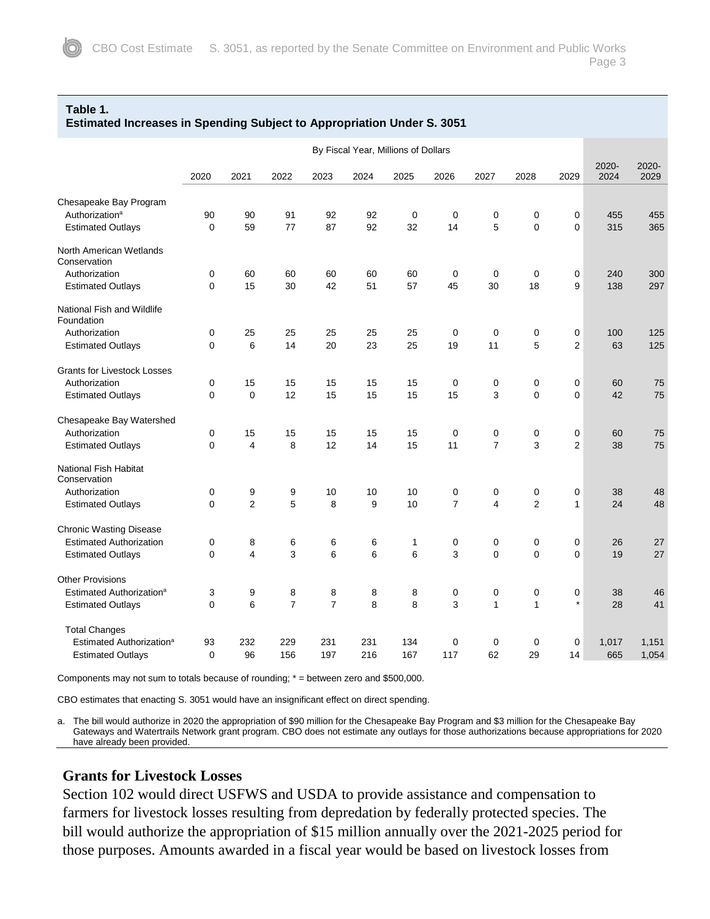#### **Table 1.**

| <b>Estimated Increases in Spending Subject to Appropriation Under S. 3051</b> |  |
|-------------------------------------------------------------------------------|--|
|-------------------------------------------------------------------------------|--|

|                                          | By Fiscal Year, Millions of Dollars |                |                |                |                  |      |                |                |                |                  |               |               |
|------------------------------------------|-------------------------------------|----------------|----------------|----------------|------------------|------|----------------|----------------|----------------|------------------|---------------|---------------|
|                                          | 2020                                | 2021           | 2022           | 2023           | 2024             | 2025 | 2026           | 2027           | 2028           | 2029             | 2020-<br>2024 | 2020-<br>2029 |
| Chesapeake Bay Program                   |                                     |                |                |                |                  |      |                |                |                |                  |               |               |
| Authorization <sup>a</sup>               | 90                                  | 90             | 91             | 92             | 92               | 0    | $\mathbf 0$    | $\mathbf 0$    | $\pmb{0}$      | $\pmb{0}$        | 455           | 455           |
| <b>Estimated Outlays</b>                 | 0                                   | 59             | 77             | 87             | 92               | 32   | 14             | 5              | $\Omega$       | $\Omega$         | 315           | 365           |
| North American Wetlands<br>Conservation  |                                     |                |                |                |                  |      |                |                |                |                  |               |               |
| Authorization                            | 0                                   | 60             | 60             | 60             | 60               | 60   | 0              | 0              | $\mathbf 0$    | 0                | 240           | 300           |
| <b>Estimated Outlays</b>                 | 0                                   | 15             | 30             | 42             | 51               | 57   | 45             | 30             | 18             | 9                | 138           | 297           |
| National Fish and Wildlife<br>Foundation |                                     |                |                |                |                  |      |                |                |                |                  |               |               |
| Authorization                            | 0                                   | 25             | 25             | 25             | 25               | 25   | $\mathbf 0$    | $\mathbf 0$    | $\pmb{0}$      | $\boldsymbol{0}$ | 100           | 125           |
| <b>Estimated Outlays</b>                 | 0                                   | 6              | 14             | 20             | 23               | 25   | 19             | 11             | 5              | $\overline{2}$   | 63            | 125           |
| <b>Grants for Livestock Losses</b>       |                                     |                |                |                |                  |      |                |                |                |                  |               |               |
| Authorization                            | 0                                   | 15             | 15             | 15             | 15               | 15   | $\mathbf 0$    | 0              | $\mathbf 0$    | $\mathbf 0$      | 60            | 75            |
| <b>Estimated Outlays</b>                 | 0                                   | $\mathbf 0$    | 12             | 15             | 15               | 15   | 15             | 3              | $\Omega$       | $\mathbf 0$      | 42            | 75            |
| Chesapeake Bay Watershed                 |                                     |                |                |                |                  |      |                |                |                |                  |               |               |
| Authorization                            | 0                                   | 15             | 15             | 15             | 15               | 15   | $\mathbf 0$    | $\pmb{0}$      | $\pmb{0}$      | $\pmb{0}$        | 60            | 75            |
| <b>Estimated Outlays</b>                 | 0                                   | 4              | 8              | 12             | 14               | 15   | 11             | $\overline{7}$ | 3              | $\overline{2}$   | 38            | 75            |
| National Fish Habitat<br>Conservation    |                                     |                |                |                |                  |      |                |                |                |                  |               |               |
| Authorization                            | 0                                   | 9              | 9              | 10             | 10               | 10   | 0              | 0              | $\mathbf 0$    | 0                | 38            | 48            |
| <b>Estimated Outlays</b>                 | 0                                   | $\overline{2}$ | 5              | 8              | $\boldsymbol{9}$ | 10   | $\overline{7}$ | $\overline{4}$ | $\overline{2}$ | $\mathbf{1}$     | 24            | 48            |
| <b>Chronic Wasting Disease</b>           |                                     |                |                |                |                  |      |                |                |                |                  |               |               |
| <b>Estimated Authorization</b>           | 0                                   | 8              | 6              | 6              | 6                | 1    | 0              | 0              | $\pmb{0}$      | 0                | 26            | 27            |
| <b>Estimated Outlays</b>                 | 0                                   | 4              | 3              | 6              | 6                | 6    | 3              | $\Omega$       | $\mathbf 0$    | $\mathbf 0$      | 19            | 27            |
| <b>Other Provisions</b>                  |                                     |                |                |                |                  |      |                |                |                |                  |               |               |
| Estimated Authorization <sup>a</sup>     | 3                                   | 9              | 8              | 8              | 8                | 8    | $\mathbf 0$    | $\mathbf 0$    | $\mathbf 0$    | 0                | 38            | 46            |
| <b>Estimated Outlays</b>                 | 0                                   | 6              | $\overline{7}$ | $\overline{7}$ | 8                | 8    | 3              | $\mathbf{1}$   | $\mathbf{1}$   | $\star$          | 28            | 41            |
| <b>Total Changes</b>                     |                                     |                |                |                |                  |      |                |                |                |                  |               |               |
| Estimated Authorization <sup>a</sup>     | 93                                  | 232            | 229            | 231            | 231              | 134  | 0              | 0              | 0              | 0                | 1,017         | 1,151         |
| <b>Estimated Outlays</b>                 | 0                                   | 96             | 156            | 197            | 216              | 167  | 117            | 62             | 29             | 14               | 665           | 1,054         |

Components may not sum to totals because of rounding; \* = between zero and \$500,000.

CBO estimates that enacting S. 3051 would have an insignificant effect on direct spending.

a. The bill would authorize in 2020 the appropriation of \$90 million for the Chesapeake Bay Program and \$3 million for the Chesapeake Bay Gateways and Watertrails Network grant program. CBO does not estimate any outlays for those authorizations because appropriations for 2020 have already been provided.

### **Grants for Livestock Losses**

Section 102 would direct USFWS and USDA to provide assistance and compensation to farmers for livestock losses resulting from depredation by federally protected species. The bill would authorize the appropriation of \$15 million annually over the 2021-2025 period for those purposes. Amounts awarded in a fiscal year would be based on livestock losses from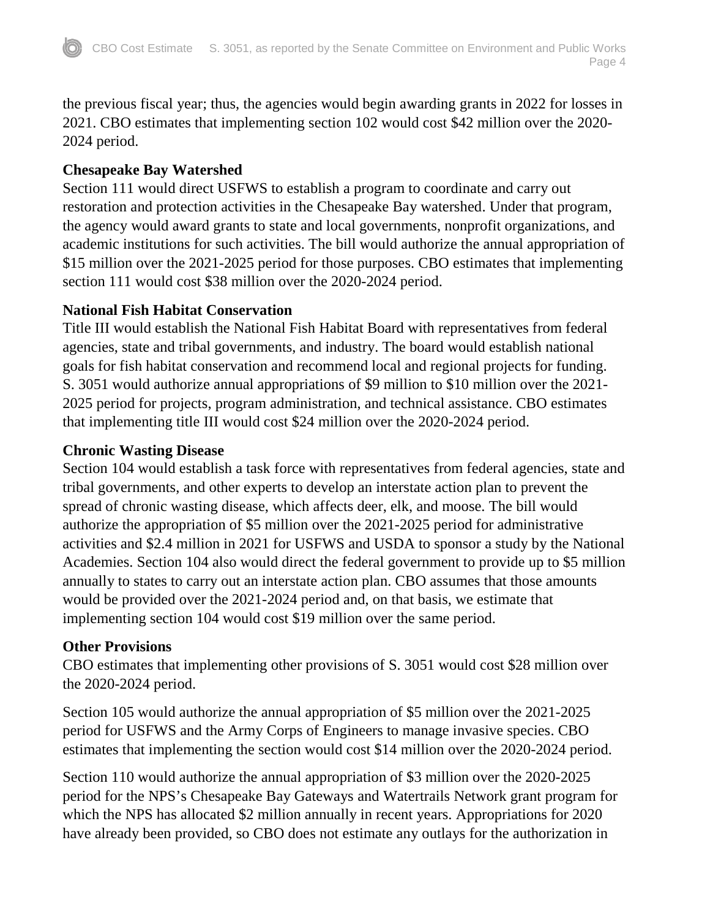the previous fiscal year; thus, the agencies would begin awarding grants in 2022 for losses in 2021. CBO estimates that implementing section 102 would cost \$42 million over the 2020- 2024 period.

## **Chesapeake Bay Watershed**

Section 111 would direct USFWS to establish a program to coordinate and carry out restoration and protection activities in the Chesapeake Bay watershed. Under that program, the agency would award grants to state and local governments, nonprofit organizations, and academic institutions for such activities. The bill would authorize the annual appropriation of \$15 million over the 2021-2025 period for those purposes. CBO estimates that implementing section 111 would cost \$38 million over the 2020-2024 period.

## **National Fish Habitat Conservation**

Title III would establish the National Fish Habitat Board with representatives from federal agencies, state and tribal governments, and industry. The board would establish national goals for fish habitat conservation and recommend local and regional projects for funding. S. 3051 would authorize annual appropriations of \$9 million to \$10 million over the 2021- 2025 period for projects, program administration, and technical assistance. CBO estimates that implementing title III would cost \$24 million over the 2020-2024 period.

## **Chronic Wasting Disease**

Section 104 would establish a task force with representatives from federal agencies, state and tribal governments, and other experts to develop an interstate action plan to prevent the spread of chronic wasting disease, which affects deer, elk, and moose. The bill would authorize the appropriation of \$5 million over the 2021-2025 period for administrative activities and \$2.4 million in 2021 for USFWS and USDA to sponsor a study by the National Academies. Section 104 also would direct the federal government to provide up to \$5 million annually to states to carry out an interstate action plan. CBO assumes that those amounts would be provided over the 2021-2024 period and, on that basis, we estimate that implementing section 104 would cost \$19 million over the same period.

## **Other Provisions**

CBO estimates that implementing other provisions of S. 3051 would cost \$28 million over the 2020-2024 period.

Section 105 would authorize the annual appropriation of \$5 million over the 2021-2025 period for USFWS and the Army Corps of Engineers to manage invasive species. CBO estimates that implementing the section would cost \$14 million over the 2020-2024 period.

Section 110 would authorize the annual appropriation of \$3 million over the 2020-2025 period for the NPS's Chesapeake Bay Gateways and Watertrails Network grant program for which the NPS has allocated \$2 million annually in recent years. Appropriations for 2020 have already been provided, so CBO does not estimate any outlays for the authorization in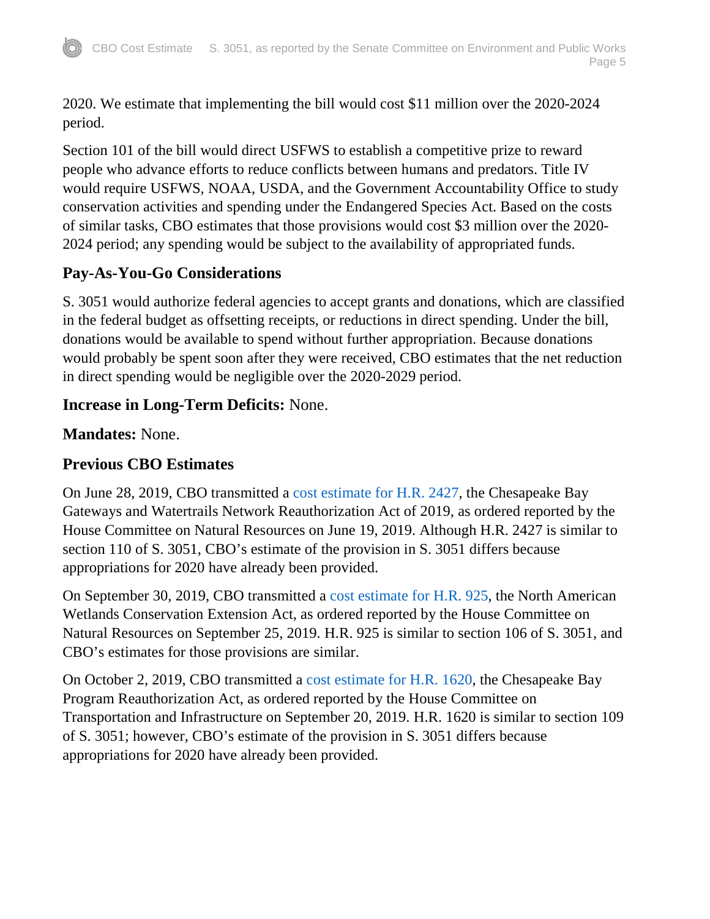2020. We estimate that implementing the bill would cost \$11 million over the 2020-2024 period.

Section 101 of the bill would direct USFWS to establish a competitive prize to reward people who advance efforts to reduce conflicts between humans and predators. Title IV would require USFWS, NOAA, USDA, and the Government Accountability Office to study conservation activities and spending under the Endangered Species Act. Based on the costs of similar tasks, CBO estimates that those provisions would cost \$3 million over the 2020- 2024 period; any spending would be subject to the availability of appropriated funds.

# **Pay-As-You-Go Considerations**

S. 3051 would authorize federal agencies to accept grants and donations, which are classified in the federal budget as offsetting receipts, or reductions in direct spending. Under the bill, donations would be available to spend without further appropriation. Because donations would probably be spent soon after they were received, CBO estimates that the net reduction in direct spending would be negligible over the 2020-2029 period.

# **Increase in Long-Term Deficits:** None.

**Mandates:** None.

# **Previous CBO Estimates**

On June 28, 2019, CBO transmitted a [cost estimate for H.R. 2427,](https://www.cbo.gov/publication/55406) the Chesapeake Bay Gateways and Watertrails Network Reauthorization Act of 2019, as ordered reported by the House Committee on Natural Resources on June 19, 2019. Although H.R. 2427 is similar to section 110 of S. 3051, CBO's estimate of the provision in S. 3051 differs because appropriations for 2020 have already been provided.

On September 30, 2019, CBO transmitted a [cost estimate for H.R. 925,](https://www.cbo.gov/publication/55675) the North American Wetlands Conservation Extension Act, as ordered reported by the House Committee on Natural Resources on September 25, 2019. H.R. 925 is similar to section 106 of S. 3051, and CBO's estimates for those provisions are similar.

On October 2, 2019, CBO transmitted a [cost estimate for H.R. 1620,](https://www.cbo.gov/publication/55691) the Chesapeake Bay Program Reauthorization Act, as ordered reported by the House Committee on Transportation and Infrastructure on September 20, 2019. H.R. 1620 is similar to section 109 of S. 3051; however, CBO's estimate of the provision in S. 3051 differs because appropriations for 2020 have already been provided.